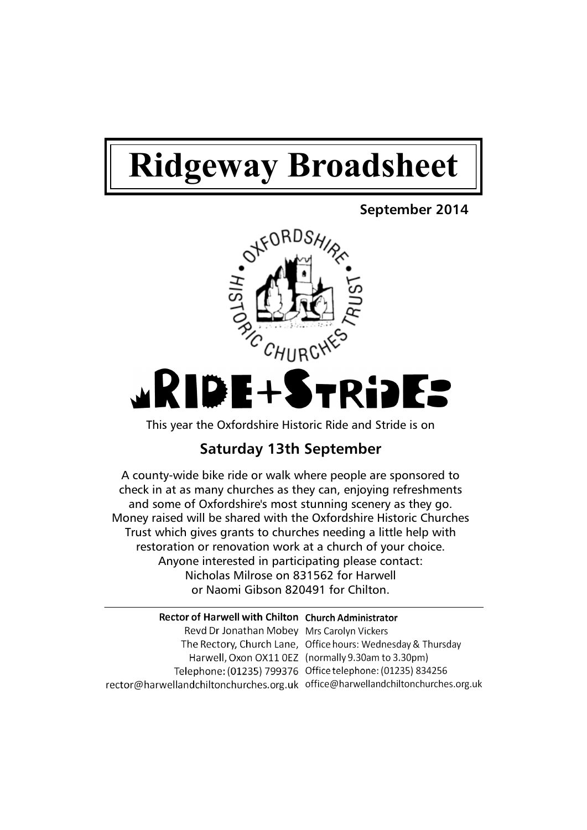# **Ridgeway Broadsheet**

# **September 2014**



This year the Oxfordshire Historic Ride and Stride is on

# **Saturday 13th September**

A county-wide bike ride or walk where people are sponsored to check in at as many churches as they can, enjoying refreshments and some of Oxfordshire's most stunning scenery as they go. Money raised will be shared with the Oxfordshire Historic Churches Trust which gives grants to churches needing a little help with restoration or renovation work at a church of your choice. Anyone interested in participating please contact: Nicholas Milrose on 831562 for Harwell or Naomi Gibson 820491 for Chilton.

| <b>Rector of Harwell with Chilton Church Administrator</b>                      |                                                              |
|---------------------------------------------------------------------------------|--------------------------------------------------------------|
| Revd Dr Jonathan Mobey Mrs Carolyn Vickers                                      |                                                              |
|                                                                                 | The Rectory, Church Lane, Office hours: Wednesday & Thursday |
|                                                                                 | Harwell, Oxon OX11 OEZ (normally 9.30am to 3.30pm)           |
|                                                                                 | Telephone: (01235) 799376 Office telephone: (01235) 834256   |
| rector@harwellandchiltonchurches.org.uk office@harwellandchiltonchurches.org.uk |                                                              |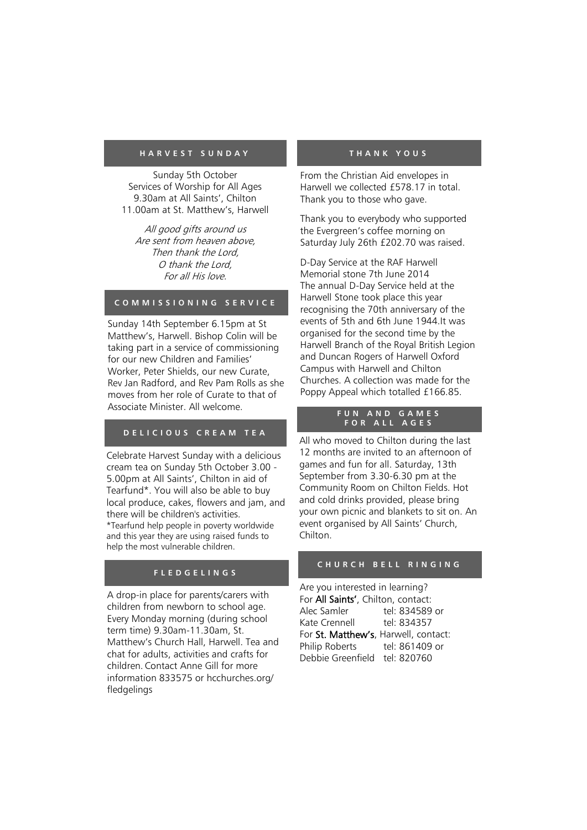## **H A R V E S T S U N D A Y**

Sunday 5th October Services of Worship for All Ages 9.30am at All Saints', Chilton 11.00am at St. Matthew's, Harwell

All good gifts around us Are sent from heaven above, Then thank the Lord, O thank the Lord, For all His love.

# **C O M M I S S I O N I N G S E R V I C E**

Sunday 14th September 6.15pm at St Matthew's, Harwell. Bishop Colin will be taking part in a service of commissioning for our new Children and Families' Worker, Peter Shields, our new Curate, Rev Jan Radford, and Rev Pam Rolls as she moves from her role of Curate to that of Associate Minister. All welcome.

# **D E L I C I O U S C R E A M T E A**

Celebrate Harvest Sunday with a delicious cream tea on Sunday 5th October 3.00 - 5.00pm at All Saints', Chilton in aid of Tearfund\*. You will also be able to buy local produce, cakes, flowers and jam, and there will be children's activities. \*Tearfund help people in poverty worldwide and this year they are using raised funds to help the most vulnerable children.

# **F L E D G E L I N G S**

A drop-in place for parents/carers with children from newborn to school age. Every Monday morning (during school term time) 9.30am-11.30am, St. Matthew's Church Hall, Harwell. Tea and chat for adults, activities and crafts for children. Contact Anne Gill for more information 833575 or hcchurches.org/ fledgelings

#### **T H A N K Y O U S**

From the Christian Aid envelopes in Harwell we collected £578.17 in total. Thank you to those who gave.

Thank you to everybody who supported the Evergreen's coffee morning on Saturday July 26th £202.70 was raised.

D-Day Service at the RAF Harwell Memorial stone 7th June 2014 The annual D-Day Service held at the Harwell Stone took place this year recognising the 70th anniversary of the events of 5th and 6th June 1944.It was organised for the second time by the Harwell Branch of the Royal British Legion and Duncan Rogers of Harwell Oxford Campus with Harwell and Chilton Churches. A collection was made for the Poppy Appeal which totalled £166.85.

## **F U N A N D G A M E S F O R A L L A G E S**

All who moved to Chilton during the last 12 months are invited to an afternoon of games and fun for all. Saturday, 13th September from 3.30-6.30 pm at the Community Room on Chilton Fields. Hot and cold drinks provided, please bring your own picnic and blankets to sit on. An event organised by All Saints' Church, Chilton.

# C H U R C H B E L L R I N G I N G

Are you interested in learning? For All Saints', Chilton, contact: Alec Samler tel: 834589 or Kate Crennell tel: 834357 For St. Matthew's, Harwell, contact: Philip Roberts tel: 861409 or Debbie Greenfield tel: 820760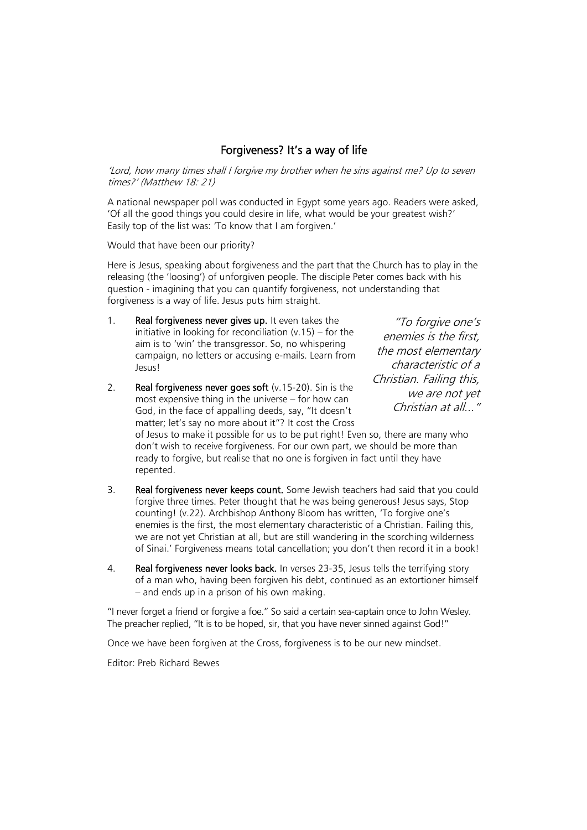# Forgiveness? It's a way of life

'Lord, how many times shall I forgive my brother when he sins against me? Up to seven times?' (Matthew 18: 21)

A national newspaper poll was conducted in Egypt some years ago. Readers were asked, 'Of all the good things you could desire in life, what would be your greatest wish?' Easily top of the list was: 'To know that I am forgiven.'

Would that have been our priority?

Here is Jesus, speaking about forgiveness and the part that the Church has to play in the releasing (the 'loosing') of unforgiven people. The disciple Peter comes back with his question - imagining that you can quantify forgiveness, not understanding that forgiveness is a way of life. Jesus puts him straight.

1. Real forgiveness never gives up. It even takes the initiative in looking for reconciliation  $(v.15)$  – for the aim is to 'win' the transgressor. So, no whispering campaign, no letters or accusing e-mails. Learn from Jesus!

2. Real forgiveness never goes soft (v.15-20). Sin is the most expensive thing in the universe – for how can God, in the face of appalling deeds, say, "It doesn't matter; let's say no more about it"? It cost the Cross

"To forgive one's enemies is the first, the most elementary characteristic of a Christian. Failing this, we are not yet Christian at all..."

of Jesus to make it possible for us to be put right! Even so, there are many who don't wish to receive forgiveness. For our own part, we should be more than ready to forgive, but realise that no one is forgiven in fact until they have repented.

- 3. Real forgiveness never keeps count. Some Jewish teachers had said that you could forgive three times. Peter thought that he was being generous! Jesus says, Stop counting! (v.22). Archbishop Anthony Bloom has written, 'To forgive one's enemies is the first, the most elementary characteristic of a Christian. Failing this, we are not yet Christian at all, but are still wandering in the scorching wilderness of Sinai.' Forgiveness means total cancellation; you don't then record it in a book!
- 4. Real forgiveness never looks back. In verses 23-35, Jesus tells the terrifying story of a man who, having been forgiven his debt, continued as an extortioner himself – and ends up in a prison of his own making.

"I never forget a friend or forgive a foe." So said a certain sea-captain once to John Wesley. The preacher replied, "It is to be hoped, sir, that you have never sinned against God!"

Once we have been forgiven at the Cross, forgiveness is to be our new mindset.

Editor: Preb Richard Bewes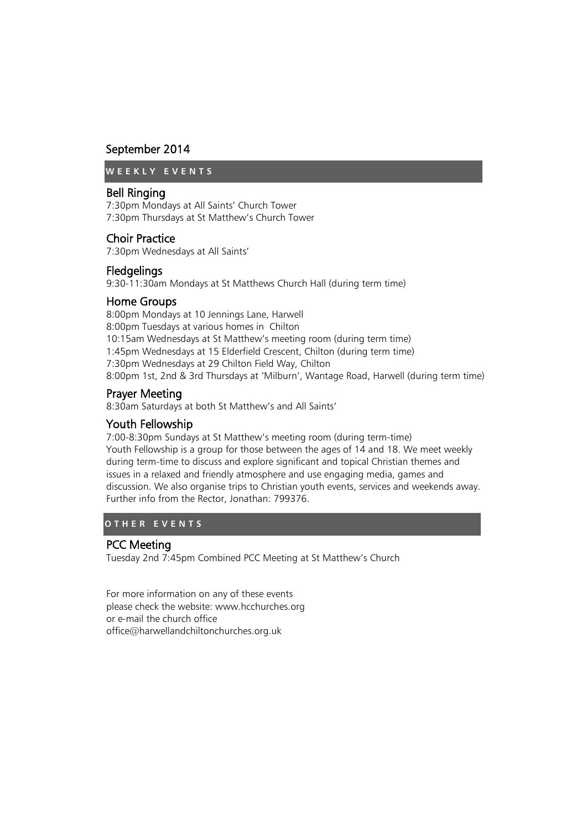# September 2014

**W E E K L Y E V E N T S**

# Bell Ringing

7:30pm Mondays at All Saints' Church Tower 7:30pm Thursdays at St Matthew's Church Tower

# Choir Practice

7:30pm Wednesdays at All Saints'

# **Fledgelings**

9:30-11:30am Mondays at St Matthews Church Hall (during term time)

# Home Groups

8:00pm Mondays at 10 Jennings Lane, Harwell 8:00pm Tuesdays at various homes in Chilton 10:15am Wednesdays at St Matthew's meeting room (during term time) 1:45pm Wednesdays at 15 Elderfield Crescent, Chilton (during term time) 7:30pm Wednesdays at 29 Chilton Field Way, Chilton 8:00pm 1st, 2nd & 3rd Thursdays at 'Milburn', Wantage Road, Harwell (during term time)

# Prayer Meeting

8:30am Saturdays at both St Matthew's and All Saints'

# Youth Fellowship

7:00-8:30pm Sundays at St Matthew's meeting room (during term-time) Youth Fellowship is a group for those between the ages of 14 and 18. We meet weekly during term-time to discuss and explore significant and topical Christian themes and issues in a relaxed and friendly atmosphere and use engaging media, games and discussion. We also organise trips to Christian youth events, services and weekends away. Further info from the Rector, Jonathan: 799376.

# **O T H E R E V E N T S**

# PCC Meeting

Tuesday 2nd 7:45pm Combined PCC Meeting at St Matthew's Church

For more information on any of these events please check the website: www.hcchurches.org or e-mail the church office office@harwellandchiltonchurches.org.uk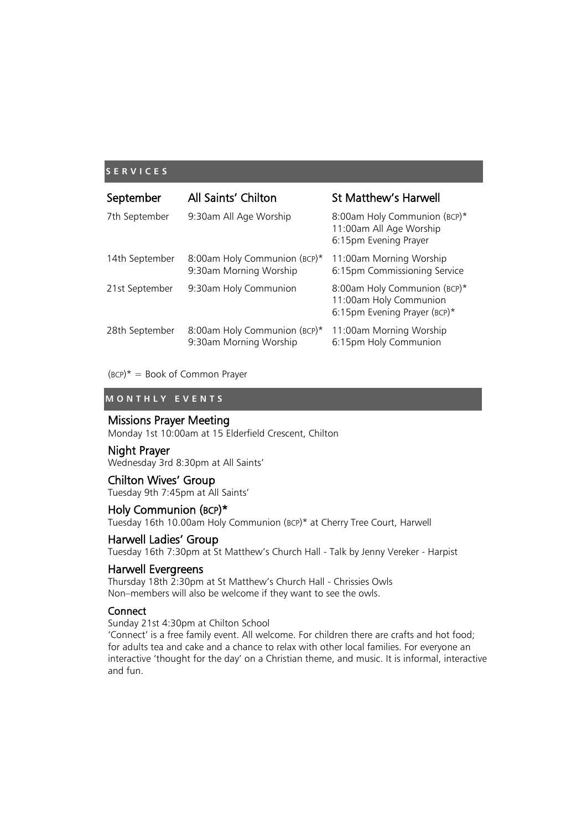# **S E R V I C E S**

| September      | All Saints' Chilton                                    | <b>St Matthew's Harwell</b>                                                            |
|----------------|--------------------------------------------------------|----------------------------------------------------------------------------------------|
| 7th September  | 9:30am All Age Worship                                 | 8:00am Holy Communion (BCP)*<br>11:00am All Age Worship<br>6:15pm Evening Prayer       |
| 14th September | 8:00am Holy Communion (BCP)*<br>9:30am Morning Worship | 11:00am Morning Worship<br>6:15pm Commissioning Service                                |
| 21st September | 9:30am Holy Communion                                  | 8:00am Holy Communion (BCP)*<br>11:00am Holy Communion<br>6:15pm Evening Prayer (BCP)* |
| 28th September | 8:00am Holy Communion (BCP)*<br>9:30am Morning Worship | 11:00am Morning Worship<br>6:15pm Holy Communion                                       |

 $(BCP)^* = Book of Common Prayer$ 

# **M O N T H L Y E V E N T S**

# Missions Prayer Meeting

Monday 1st 10:00am at 15 Elderfield Crescent, Chilton

# Night Prayer

Wednesday 3rd 8:30pm at All Saints'

# Chilton Wives' Group

Tuesday 9th 7:45pm at All Saints'

# Holy Communion (BCP)\*

Tuesday 16th 10.00am Holy Communion (BCP)\* at Cherry Tree Court, Harwell

# Harwell Ladies' Group

Tuesday 16th 7:30pm at St Matthew's Church Hall - Talk by Jenny Vereker - Harpist

# Harwell Evergreens

Thursday 18th 2:30pm at St Matthew's Church Hall - Chrissies Owls Non–members will also be welcome if they want to see the owls.

# **Connect**

Sunday 21st 4:30pm at Chilton School

'Connect' is a free family event. All welcome. For children there are crafts and hot food; for adults tea and cake and a chance to relax with other local families. For everyone an interactive 'thought for the day' on a Christian theme, and music. It is informal, interactive and fun.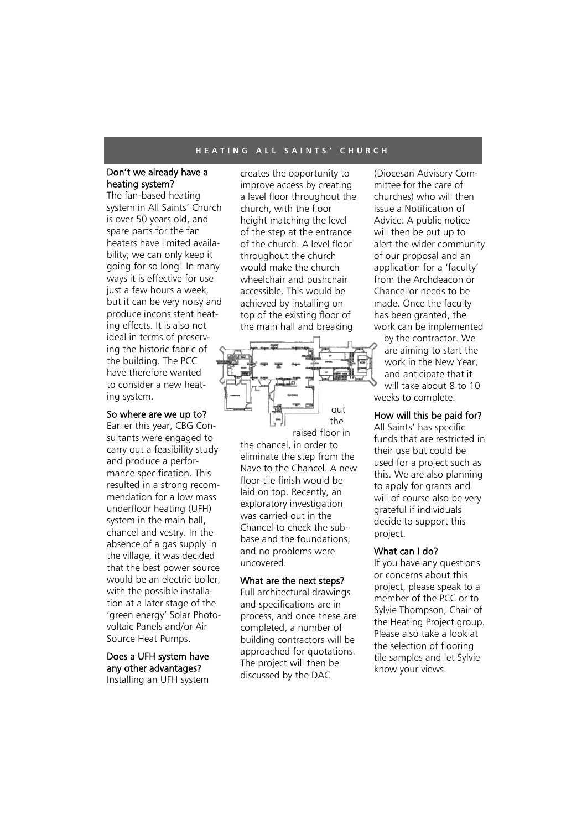#### **H E A T I N G A L L S A I N T S ' C H U R C H**

# Don't we already have a heating system?

The fan-based heating system in All Saints' Church is over 50 years old, and spare parts for the fan heaters have limited availability; we can only keep it going for so long! In many ways it is effective for use just a few hours a week. but it can be very noisy and produce inconsistent heating effects. It is also not ideal in terms of preserving the historic fabric of the building. The PCC have therefore wanted to consider a new heating system.

#### So where are we up to?

Earlier this year, CBG Consultants were engaged to carry out a feasibility study and produce a performance specification. This resulted in a strong recommendation for a low mass underfloor heating (UFH) system in the main hall, chancel and vestry. In the absence of a gas supply in the village, it was decided that the best power source would be an electric boiler, with the possible installation at a later stage of the 'green energy' Solar Photovoltaic Panels and/or Air Source Heat Pumps.

# Does a UFH system have any other advantages? Installing an UFH system

creates the opportunity to improve access by creating a level floor throughout the church, with the floor height matching the level of the step at the entrance of the church. A level floor throughout the church would make the church wheelchair and pushchair accessible. This would be achieved by installing on top of the existing floor of the main hall and breaking



the chancel, in order to eliminate the step from the Nave to the Chancel. A new floor tile finish would be laid on top. Recently, an exploratory investigation was carried out in the Chancel to check the subbase and the foundations, and no problems were uncovered.

# What are the next steps?

Full architectural drawings and specifications are in process, and once these are completed, a number of building contractors will be approached for quotations. The project will then be discussed by the DAC

(Diocesan Advisory Committee for the care of churches) who will then issue a Notification of Advice. A public notice will then be put up to alert the wider community of our proposal and an application for a 'faculty' from the Archdeacon or Chancellor needs to be made. Once the faculty has been granted, the work can be implemented

by the contractor. We are aiming to start the work in the New Year, and anticipate that it will take about 8 to 10 weeks to complete.

# How will this be paid for?

All Saints' has specific funds that are restricted in their use but could be used for a project such as this. We are also planning to apply for grants and will of course also be very grateful if individuals decide to support this project.

# What can I do?

If you have any questions or concerns about this project, please speak to a member of the PCC or to Sylvie Thompson, Chair of the Heating Project group. Please also take a look at the selection of flooring tile samples and let Sylvie know your views.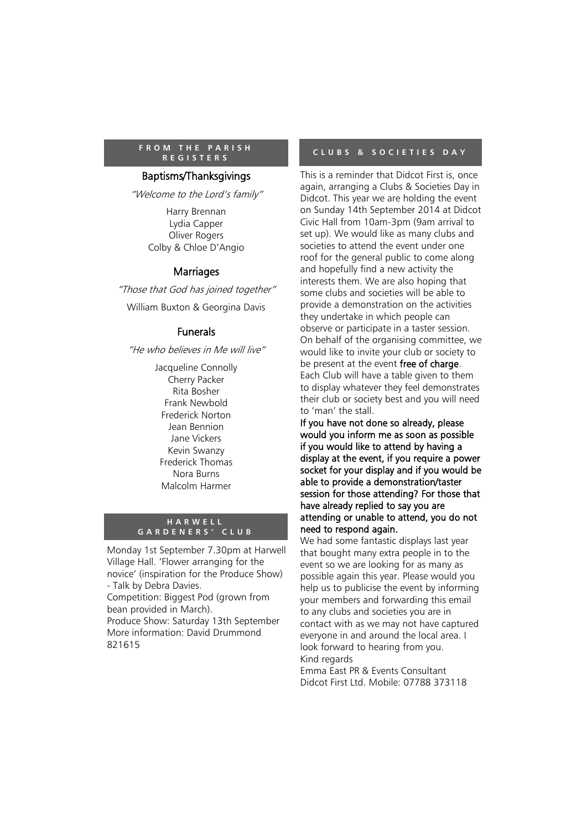# **F R O M T H E P A R I S H R E G I S T E R S**

# Baptisms/Thanksgivings

"Welcome to the Lord's family"

Harry Brennan Lydia Capper Oliver Rogers Colby & Chloe D'Angio

# **Marriages**

"Those that God has joined together"

William Buxton & Georgina Davis

# Funerals

"He who believes in Me will live"

Jacqueline Connolly Cherry Packer Rita Bosher Frank Newbold Frederick Norton Jean Bennion Jane Vickers Kevin Swanzy Frederick Thomas Nora Burns Malcolm Harmer

# **H A R W E L L G A R D E N E R S ' C L U B**

Monday 1st September 7.30pm at Harwell Village Hall. 'Flower arranging for the novice' (inspiration for the Produce Show) - Talk by Debra Davies.

Competition: Biggest Pod (grown from bean provided in March).

Produce Show: Saturday 13th September More information: David Drummond 821615

# **C L U B S & S O C I E T I E S D A Y**

This is a reminder that Didcot First is, once again, arranging a Clubs & Societies Day in Didcot. This year we are holding the event on Sunday 14th September 2014 at Didcot Civic Hall from 10am-3pm (9am arrival to set up). We would like as many clubs and societies to attend the event under one roof for the general public to come along and hopefully find a new activity the interests them. We are also hoping that some clubs and societies will be able to provide a demonstration on the activities they undertake in which people can observe or participate in a taster session. On behalf of the organising committee, we would like to invite your club or society to be present at the event free of charge. Each Club will have a table given to them to display whatever they feel demonstrates their club or society best and you will need to 'man' the stall.

If you have not done so already, please would you inform me as soon as possible if you would like to attend by having a display at the event, if you require a power socket for your display and if you would be able to provide a demonstration/taster session for those attending? For those that have already replied to say you are attending or unable to attend, you do not need to respond again.

We had some fantastic displays last year that bought many extra people in to the event so we are looking for as many as possible again this year. Please would you help us to publicise the event by informing your members and forwarding this email to any clubs and societies you are in contact with as we may not have captured everyone in and around the local area. I look forward to hearing from you. Kind regards

Emma East PR & Events Consultant Didcot First Ltd. Mobile: 07788 373118